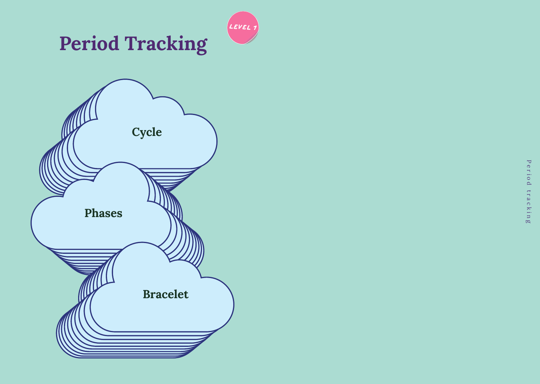



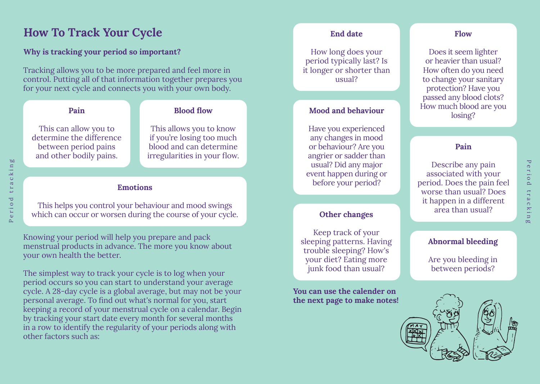## **How To Track Your Cycle**

#### **Why is tracking your period so important?**

Tracking allows you to be more prepared and feel more in control. Putting all of that information together prepares you for your next cycle and connects you with your own body.

#### **Pain**

#### **Blood flow**

This can allow you to determine the difference between period pains and other bodily pains.

This allows you to know if you're losing too much blood and can determine irregularities in your flow.

#### **Emotions**

This helps you control your behaviour and mood swings which can occur or worsen during the course of your cycle.

Knowing your period will help you prepare and pack menstrual products in advance. The more you know about your own health the better.

The simplest way to track your cycle is to log when your period occurs so you can start to understand your average cycle. A 28-day cycle is a global average, but may not be your personal average. To find out what's normal for you, start keeping a record of your menstrual cycle on a calendar. Begin by tracking your start date every month for several months in a row to identify the regularity of your periods along with other factors such as:

#### **End date**

How long does your period typically last? Is it longer or shorter than usual?

#### **Mood and behaviour**

Have you experienced any changes in mood or behaviour? Are you angrier or sadder than usual? Did any major event happen during or before your period?

#### **Other changes**

Keep track of your sleeping patterns. Having trouble sleeping? How's your diet? Eating more junk food than usual?

**You can use the calender on the next page to make notes!**

#### **Flow**

Does it seem lighter or heavier than usual? How often do you need to change your sanitary protection? Have you passed any blood clots? How much blood are you losing?

#### **Pain**

Describe any pain associated with your period. Does the pain feel worse than usual? Does it happen in a different area than usual?

Period tracking

tracking

Period

#### **Abnormal bleeding**

Are you bleeding in between periods?

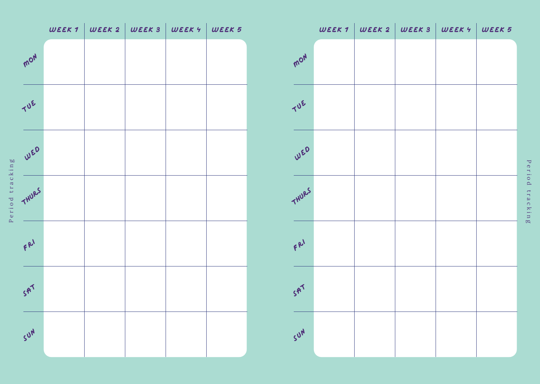

|                |  | $WEEK 1 \mid WEEK 2 \mid WEEK 3 \mid WEEK 4 \mid WEEK 5$ |  |
|----------------|--|----------------------------------------------------------|--|
| MON            |  |                                                          |  |
| TUE            |  |                                                          |  |
| WED            |  |                                                          |  |
| THURS          |  |                                                          |  |
| $fR^1$         |  |                                                          |  |
| 5 <sup>7</sup> |  |                                                          |  |
| SUN            |  |                                                          |  |

Period tracking Period tracking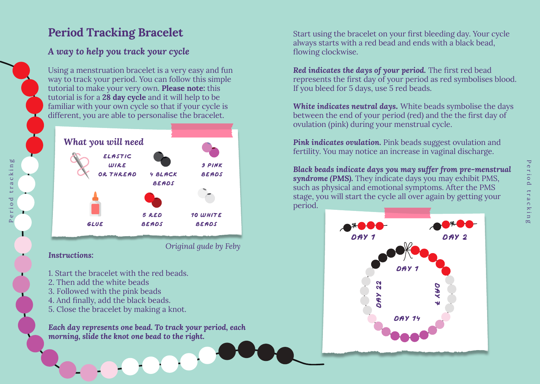# **Period Tracking Bracelet**

## *A way to help you track your cycle*

Using a menstruation bracelet is a very easy and fun way to track your period. You can follow this simple tutorial to make your very own. **Please note:** this tutorial is for a **28 day cycle** and it will help to be familiar with your own cycle so that if your cycle is different, you are able to personalise the bracelet.



*Original gude by Feby*

*70 71*

#### *Instructions:*

Period tracking

riod

ρΩ

in  $\overline{\mathbf{X}}$ tracl

- 1. Start the bracelet with the red beads.
- 2. Then add the white beads
- 3. Followed with the pink beads
- 4. And finally, add the black beads.
- 5. Close the bracelet by making a knot.

*Each day represents one bead. To track your period, each morning, slide the knot one bead to the right.*

Start using the bracelet on your first bleeding day. Your cycle always starts with a red bead and ends with a black bead, flowing clockwise.

*Red indicates the days of your period.* The first red bead represents the first day of your period as red symbolises blood. If you bleed for 5 days, use 5 red beads.

*White indicates neutral days.* White beads symbolise the days between the end of your period (red) and the the first day of ovulation (pink) during your menstrual cycle.

**Pink indicates ovulation.** Pink beads suggest ovulation and fertility. You may notice an increase in vaginal discharge.

*Black beads indicate days you may suffer from pre-menstrual syndrome (PMS).* They indicate days you may exhibit PMS, such as physical and emotional symptoms. After the PMS stage, you will start the cycle all over again by getting your period.

![](_page_3_Figure_17.jpeg)